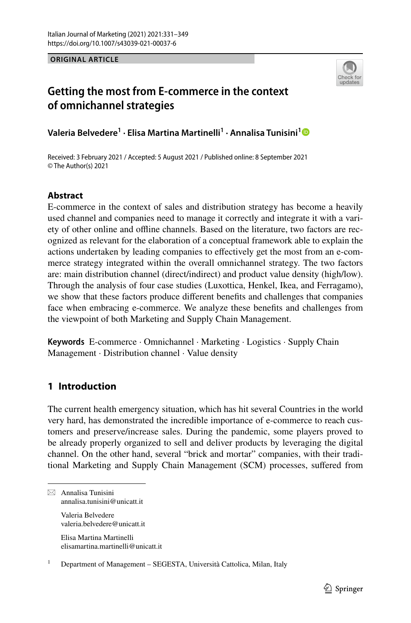**ORIGINAL ARTICLE**



# **Getting the most from E‑commerce in the context of omnichannel strategies**

**Valeria Belvedere1 · Elisa Martina Martinelli1 · Annalisa Tunisini[1](http://orcid.org/0000-0003-2062-7479)**

Received: 3 February 2021 / Accepted: 5 August 2021 / Published online: 8 September 2021 © The Author(s) 2021

# **Abstract**

E-commerce in the context of sales and distribution strategy has become a heavily used channel and companies need to manage it correctly and integrate it with a variety of other online and ofine channels. Based on the literature, two factors are recognized as relevant for the elaboration of a conceptual framework able to explain the actions undertaken by leading companies to efectively get the most from an e-commerce strategy integrated within the overall omnichannel strategy. The two factors are: main distribution channel (direct/indirect) and product value density (high/low). Through the analysis of four case studies (Luxottica, Henkel, Ikea, and Ferragamo), we show that these factors produce diferent benefts and challenges that companies face when embracing e-commerce. We analyze these benefts and challenges from the viewpoint of both Marketing and Supply Chain Management.

**Keywords** E-commerce · Omnichannel · Marketing · Logistics · Supply Chain Management · Distribution channel · Value density

# **1 Introduction**

The current health emergency situation, which has hit several Countries in the world very hard, has demonstrated the incredible importance of e-commerce to reach customers and preserve/increase sales. During the pandemic, some players proved to be already properly organized to sell and deliver products by leveraging the digital channel. On the other hand, several "brick and mortar" companies, with their traditional Marketing and Supply Chain Management (SCM) processes, sufered from

 $\boxtimes$  Annalisa Tunisini annalisa.tunisini@unicatt.it

Valeria Belvedere valeria.belvedere@unicatt.it

Elisa Martina Martinelli elisamartina.martinelli@unicatt.it

<sup>1</sup> Department of Management – SEGESTA, Università Cattolica, Milan, Italy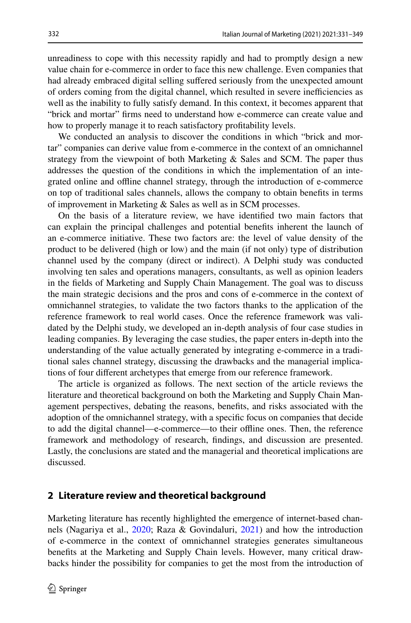unreadiness to cope with this necessity rapidly and had to promptly design a new value chain for e-commerce in order to face this new challenge. Even companies that had already embraced digital selling suffered seriously from the unexpected amount of orders coming from the digital channel, which resulted in severe inefficiencies as well as the inability to fully satisfy demand. In this context, it becomes apparent that "brick and mortar" frms need to understand how e-commerce can create value and how to properly manage it to reach satisfactory proftability levels.

We conducted an analysis to discover the conditions in which "brick and mortar" companies can derive value from e-commerce in the context of an omnichannel strategy from the viewpoint of both Marketing & Sales and SCM. The paper thus addresses the question of the conditions in which the implementation of an integrated online and ofine channel strategy, through the introduction of e-commerce on top of traditional sales channels, allows the company to obtain benefts in terms of improvement in Marketing & Sales as well as in SCM processes.

On the basis of a literature review, we have identifed two main factors that can explain the principal challenges and potential benefts inherent the launch of an e-commerce initiative. These two factors are: the level of value density of the product to be delivered (high or low) and the main (if not only) type of distribution channel used by the company (direct or indirect). A Delphi study was conducted involving ten sales and operations managers, consultants, as well as opinion leaders in the felds of Marketing and Supply Chain Management. The goal was to discuss the main strategic decisions and the pros and cons of e-commerce in the context of omnichannel strategies, to validate the two factors thanks to the application of the reference framework to real world cases. Once the reference framework was validated by the Delphi study, we developed an in-depth analysis of four case studies in leading companies. By leveraging the case studies, the paper enters in-depth into the understanding of the value actually generated by integrating e-commerce in a traditional sales channel strategy, discussing the drawbacks and the managerial implications of four diferent archetypes that emerge from our reference framework.

The article is organized as follows. The next section of the article reviews the literature and theoretical background on both the Marketing and Supply Chain Management perspectives, debating the reasons, benefts, and risks associated with the adoption of the omnichannel strategy, with a specifc focus on companies that decide to add the digital channel—e-commerce—to their ofine ones. Then, the reference framework and methodology of research, fndings, and discussion are presented. Lastly, the conclusions are stated and the managerial and theoretical implications are discussed.

#### **2 Literature review and theoretical background**

Marketing literature has recently highlighted the emergence of internet-based channels (Nagariya et al., [2020](#page-17-0); Raza & Govindaluri, [2021](#page-17-1)) and how the introduction of e-commerce in the context of omnichannel strategies generates simultaneous benefts at the Marketing and Supply Chain levels. However, many critical drawbacks hinder the possibility for companies to get the most from the introduction of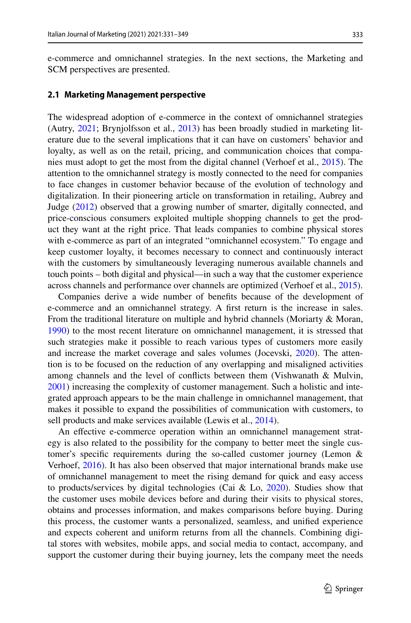e-commerce and omnichannel strategies. In the next sections, the Marketing and SCM perspectives are presented.

#### **2.1 Marketing Management perspective**

The widespread adoption of e-commerce in the context of omnichannel strategies (Autry, [2021](#page-16-0); Brynjolfsson et al., [2013](#page-16-1)) has been broadly studied in marketing literature due to the several implications that it can have on customers' behavior and loyalty, as well as on the retail, pricing, and communication choices that companies must adopt to get the most from the digital channel (Verhoef et al., [2015](#page-18-0)). The attention to the omnichannel strategy is mostly connected to the need for companies to face changes in customer behavior because of the evolution of technology and digitalization. In their pioneering article on transformation in retailing, Aubrey and Judge ([2012\)](#page-16-2) observed that a growing number of smarter, digitally connected, and price-conscious consumers exploited multiple shopping channels to get the product they want at the right price. That leads companies to combine physical stores with e-commerce as part of an integrated "omnichannel ecosystem." To engage and keep customer loyalty, it becomes necessary to connect and continuously interact with the customers by simultaneously leveraging numerous available channels and touch points – both digital and physical—in such a way that the customer experience across channels and performance over channels are optimized (Verhoef et al., [2015](#page-18-0)).

Companies derive a wide number of benefts because of the development of e-commerce and an omnichannel strategy. A frst return is the increase in sales. From the traditional literature on multiple and hybrid channels (Moriarty & Moran, [1990](#page-17-2)) to the most recent literature on omnichannel management, it is stressed that such strategies make it possible to reach various types of customers more easily and increase the market coverage and sales volumes (Jocevski, [2020](#page-16-3)). The attention is to be focused on the reduction of any overlapping and misaligned activities among channels and the level of conficts between them (Vishwanath & Mulvin, [2001](#page-18-1)) increasing the complexity of customer management. Such a holistic and integrated approach appears to be the main challenge in omnichannel management, that makes it possible to expand the possibilities of communication with customers, to sell products and make services available (Lewis et al., [2014\)](#page-17-3).

An efective e-commerce operation within an omnichannel management strategy is also related to the possibility for the company to better meet the single customer's specifc requirements during the so-called customer journey (Lemon & Verhoef, [2016\)](#page-17-4). It has also been observed that major international brands make use of omnichannel management to meet the rising demand for quick and easy access to products/services by digital technologies (Cai & Lo,  $2020$ ). Studies show that the customer uses mobile devices before and during their visits to physical stores, obtains and processes information, and makes comparisons before buying. During this process, the customer wants a personalized, seamless, and unifed experience and expects coherent and uniform returns from all the channels. Combining digital stores with websites, mobile apps, and social media to contact, accompany, and support the customer during their buying journey, lets the company meet the needs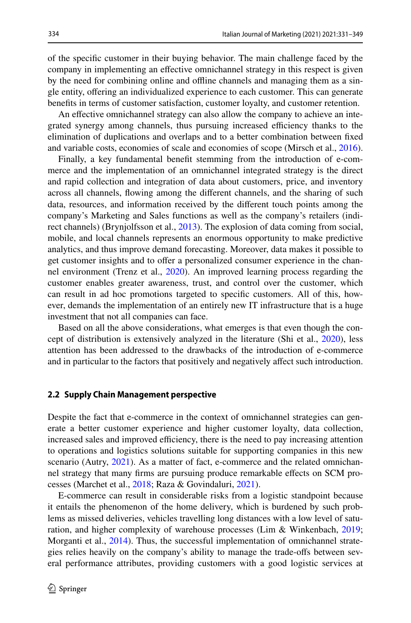of the specifc customer in their buying behavior. The main challenge faced by the company in implementing an efective omnichannel strategy in this respect is given by the need for combining online and ofine channels and managing them as a single entity, ofering an individualized experience to each customer. This can generate benefts in terms of customer satisfaction, customer loyalty, and customer retention.

An efective omnichannel strategy can also allow the company to achieve an integrated synergy among channels, thus pursuing increased efficiency thanks to the elimination of duplications and overlaps and to a better combination between fxed and variable costs, economies of scale and economies of scope (Mirsch et al., [2016\)](#page-17-5).

Finally, a key fundamental beneft stemming from the introduction of e-commerce and the implementation of an omnichannel integrated strategy is the direct and rapid collection and integration of data about customers, price, and inventory across all channels, fowing among the diferent channels, and the sharing of such data, resources, and information received by the diferent touch points among the company's Marketing and Sales functions as well as the company's retailers (indirect channels) (Brynjolfsson et al., [2013\)](#page-16-1). The explosion of data coming from social, mobile, and local channels represents an enormous opportunity to make predictive analytics, and thus improve demand forecasting. Moreover, data makes it possible to get customer insights and to ofer a personalized consumer experience in the channel environment (Trenz et al., [2020](#page-18-2)). An improved learning process regarding the customer enables greater awareness, trust, and control over the customer, which can result in ad hoc promotions targeted to specifc customers. All of this, however, demands the implementation of an entirely new IT infrastructure that is a huge investment that not all companies can face.

Based on all the above considerations, what emerges is that even though the concept of distribution is extensively analyzed in the literature (Shi et al., [2020\)](#page-18-3), less attention has been addressed to the drawbacks of the introduction of e-commerce and in particular to the factors that positively and negatively afect such introduction.

#### **2.2 Supply Chain Management perspective**

Despite the fact that e-commerce in the context of omnichannel strategies can generate a better customer experience and higher customer loyalty, data collection, increased sales and improved efficiency, there is the need to pay increasing attention to operations and logistics solutions suitable for supporting companies in this new scenario (Autry, [2021](#page-16-0)). As a matter of fact, e-commerce and the related omnichannel strategy that many frms are pursuing produce remarkable efects on SCM processes (Marchet et al., [2018;](#page-17-6) Raza & Govindaluri, [2021](#page-17-1)).

E-commerce can result in considerable risks from a logistic standpoint because it entails the phenomenon of the home delivery, which is burdened by such problems as missed deliveries, vehicles travelling long distances with a low level of saturation, and higher complexity of warehouse processes (Lim & Winkenbach, [2019;](#page-17-7) Morganti et al., [2014\)](#page-17-8). Thus, the successful implementation of omnichannel strategies relies heavily on the company's ability to manage the trade-ofs between several performance attributes, providing customers with a good logistic services at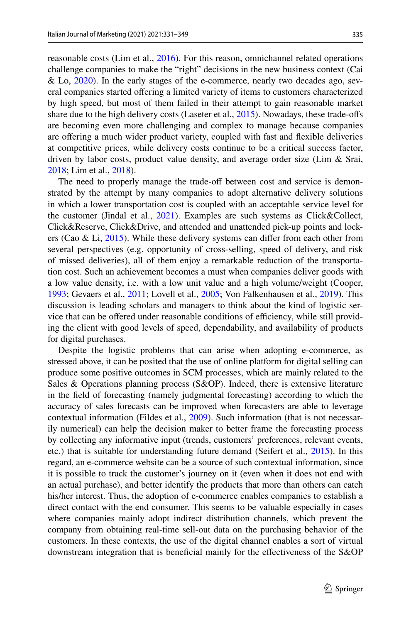reasonable costs (Lim et al., [2016\)](#page-17-9). For this reason, omnichannel related operations challenge companies to make the "right" decisions in the new business context (Cai & Lo, [2020](#page-16-4)). In the early stages of the e-commerce, nearly two decades ago, several companies started ofering a limited variety of items to customers characterized by high speed, but most of them failed in their attempt to gain reasonable market share due to the high delivery costs (Laseter et al., [2015\)](#page-17-10). Nowadays, these trade-ofs are becoming even more challenging and complex to manage because companies are ofering a much wider product variety, coupled with fast and fexible deliveries at competitive prices, while delivery costs continue to be a critical success factor, driven by labor costs, product value density, and average order size (Lim & Srai, [2018](#page-17-11); Lim et al., [2018\)](#page-17-12).

The need to properly manage the trade-of between cost and service is demonstrated by the attempt by many companies to adopt alternative delivery solutions in which a lower transportation cost is coupled with an acceptable service level for the customer (Jindal et al., [2021](#page-16-5)). Examples are such systems as Click&Collect, Click&Reserve, Click&Drive, and attended and unattended pick-up points and lockers (Cao & Li, [2015](#page-16-6)). While these delivery systems can difer from each other from several perspectives (e.g. opportunity of cross-selling, speed of delivery, and risk of missed deliveries), all of them enjoy a remarkable reduction of the transportation cost. Such an achievement becomes a must when companies deliver goods with a low value density, i.e. with a low unit value and a high volume/weight (Cooper, [1993](#page-16-7); Gevaers et al., [2011](#page-16-8); Lovell et al., [2005](#page-17-13); Von Falkenhausen et al., [2019](#page-18-4)). This discussion is leading scholars and managers to think about the kind of logistic service that can be offered under reasonable conditions of efficiency, while still providing the client with good levels of speed, dependability, and availability of products for digital purchases.

Despite the logistic problems that can arise when adopting e-commerce, as stressed above, it can be posited that the use of online platform for digital selling can produce some positive outcomes in SCM processes, which are mainly related to the Sales & Operations planning process (S&OP). Indeed, there is extensive literature in the feld of forecasting (namely judgmental forecasting) according to which the accuracy of sales forecasts can be improved when forecasters are able to leverage contextual information (Fildes et al., [2009](#page-16-9)). Such information (that is not necessarily numerical) can help the decision maker to better frame the forecasting process by collecting any informative input (trends, customers' preferences, relevant events, etc.) that is suitable for understanding future demand (Seifert et al., [2015\)](#page-17-14). In this regard, an e-commerce website can be a source of such contextual information, since it is possible to track the customer's journey on it (even when it does not end with an actual purchase), and better identify the products that more than others can catch his/her interest. Thus, the adoption of e-commerce enables companies to establish a direct contact with the end consumer. This seems to be valuable especially in cases where companies mainly adopt indirect distribution channels, which prevent the company from obtaining real-time sell-out data on the purchasing behavior of the customers. In these contexts, the use of the digital channel enables a sort of virtual downstream integration that is benefcial mainly for the efectiveness of the S&OP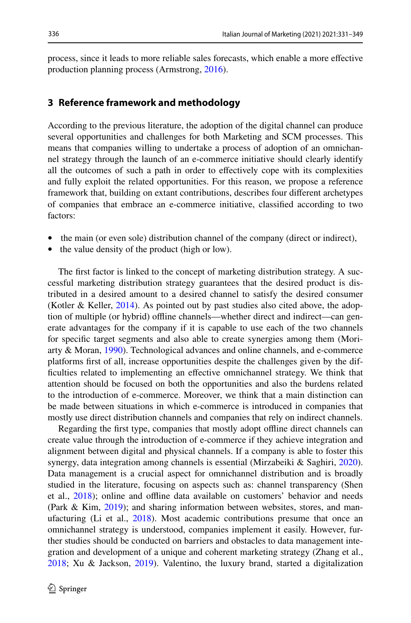process, since it leads to more reliable sales forecasts, which enable a more efective production planning process (Armstrong, [2016](#page-16-10)).

### **3 Reference framework and methodology**

According to the previous literature, the adoption of the digital channel can produce several opportunities and challenges for both Marketing and SCM processes. This means that companies willing to undertake a process of adoption of an omnichannel strategy through the launch of an e-commerce initiative should clearly identify all the outcomes of such a path in order to efectively cope with its complexities and fully exploit the related opportunities. For this reason, we propose a reference framework that, building on extant contributions, describes four diferent archetypes of companies that embrace an e-commerce initiative, classifed according to two factors:

- the main (or even sole) distribution channel of the company (direct or indirect),
- the value density of the product (high or low).

The frst factor is linked to the concept of marketing distribution strategy. A successful marketing distribution strategy guarantees that the desired product is distributed in a desired amount to a desired channel to satisfy the desired consumer (Kotler & Keller, [2014\)](#page-16-11). As pointed out by past studies also cited above, the adoption of multiple (or hybrid) ofine channels—whether direct and indirect—can generate advantages for the company if it is capable to use each of the two channels for specifc target segments and also able to create synergies among them (Moriarty & Moran, [1990](#page-17-2)). Technological advances and online channels, and e-commerce platforms frst of all, increase opportunities despite the challenges given by the diffculties related to implementing an efective omnichannel strategy. We think that attention should be focused on both the opportunities and also the burdens related to the introduction of e-commerce. Moreover, we think that a main distinction can be made between situations in which e-commerce is introduced in companies that mostly use direct distribution channels and companies that rely on indirect channels.

Regarding the frst type, companies that mostly adopt ofine direct channels can create value through the introduction of e-commerce if they achieve integration and alignment between digital and physical channels. If a company is able to foster this synergy, data integration among channels is essential (Mirzabeiki & Saghiri, [2020\)](#page-17-15). Data management is a crucial aspect for omnichannel distribution and is broadly studied in the literature, focusing on aspects such as: channel transparency (Shen et al., [2018\)](#page-18-5); online and ofine data available on customers' behavior and needs (Park & Kim, [2019](#page-17-16)); and sharing information between websites, stores, and manufacturing (Li et al., [2018\)](#page-17-17). Most academic contributions presume that once an omnichannel strategy is understood, companies implement it easily. However, further studies should be conducted on barriers and obstacles to data management integration and development of a unique and coherent marketing strategy (Zhang et al., [2018](#page-18-6); Xu & Jackson, [2019](#page-18-7)). Valentino, the luxury brand, started a digitalization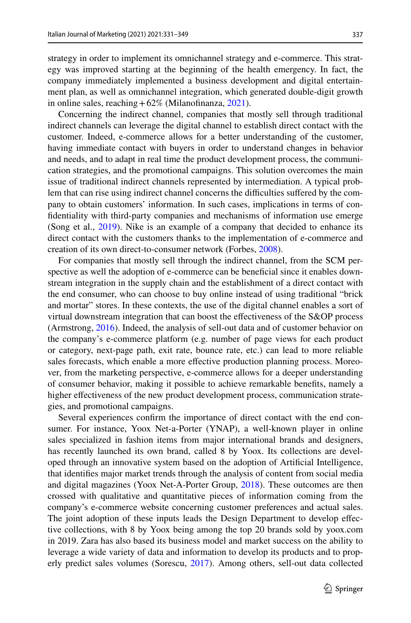strategy in order to implement its omnichannel strategy and e-commerce. This strategy was improved starting at the beginning of the health emergency. In fact, the company immediately implemented a business development and digital entertainment plan, as well as omnichannel integration, which generated double-digit growth in online sales, reaching  $+62\%$  (Milanofinanza, [2021\)](#page-17-18).

Concerning the indirect channel, companies that mostly sell through traditional indirect channels can leverage the digital channel to establish direct contact with the customer. Indeed, e-commerce allows for a better understanding of the customer, having immediate contact with buyers in order to understand changes in behavior and needs, and to adapt in real time the product development process, the communication strategies, and the promotional campaigns. This solution overcomes the main issue of traditional indirect channels represented by intermediation. A typical problem that can rise using indirect channel concerns the difficulties suffered by the company to obtain customers' information. In such cases, implications in terms of confdentiality with third-party companies and mechanisms of information use emerge (Song et al., [2019](#page-18-8)). Nike is an example of a company that decided to enhance its direct contact with the customers thanks to the implementation of e-commerce and creation of its own direct-to-consumer network (Forbes, [2008\)](#page-16-12).

For companies that mostly sell through the indirect channel, from the SCM perspective as well the adoption of e-commerce can be benefcial since it enables downstream integration in the supply chain and the establishment of a direct contact with the end consumer, who can choose to buy online instead of using traditional "brick and mortar" stores. In these contexts, the use of the digital channel enables a sort of virtual downstream integration that can boost the efectiveness of the S&OP process (Armstrong, [2016\)](#page-16-10). Indeed, the analysis of sell-out data and of customer behavior on the company's e-commerce platform (e.g. number of page views for each product or category, next-page path, exit rate, bounce rate, etc.) can lead to more reliable sales forecasts, which enable a more efective production planning process. Moreover, from the marketing perspective, e-commerce allows for a deeper understanding of consumer behavior, making it possible to achieve remarkable benefts, namely a higher effectiveness of the new product development process, communication strategies, and promotional campaigns.

Several experiences confrm the importance of direct contact with the end consumer. For instance, Yoox Net-a-Porter (YNAP), a well-known player in online sales specialized in fashion items from major international brands and designers, has recently launched its own brand, called 8 by Yoox. Its collections are developed through an innovative system based on the adoption of Artifcial Intelligence, that identifes major market trends through the analysis of content from social media and digital magazines (Yoox Net-A-Porter Group, [2018\)](#page-18-9). These outcomes are then crossed with qualitative and quantitative pieces of information coming from the company's e-commerce website concerning customer preferences and actual sales. The joint adoption of these inputs leads the Design Department to develop effective collections, with 8 by Yoox being among the top 20 brands sold by yoox.com in 2019. Zara has also based its business model and market success on the ability to leverage a wide variety of data and information to develop its products and to properly predict sales volumes (Sorescu, [2017\)](#page-18-10). Among others, sell-out data collected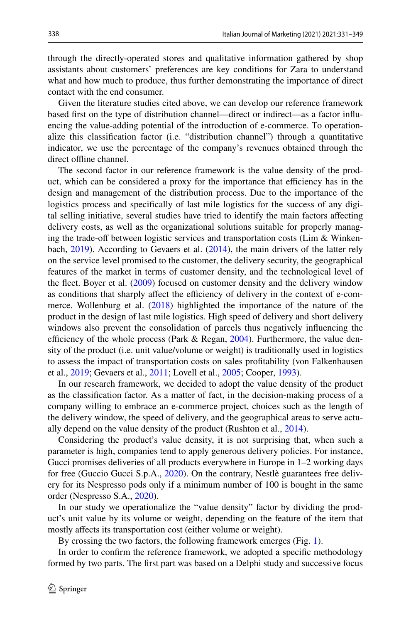through the directly-operated stores and qualitative information gathered by shop assistants about customers' preferences are key conditions for Zara to understand what and how much to produce, thus further demonstrating the importance of direct contact with the end consumer.

Given the literature studies cited above, we can develop our reference framework based frst on the type of distribution channel—direct or indirect—as a factor infuencing the value-adding potential of the introduction of e-commerce. To operationalize this classifcation factor (i.e. "distribution channel") through a quantitative indicator, we use the percentage of the company's revenues obtained through the direct offline channel.

The second factor in our reference framework is the value density of the product, which can be considered a proxy for the importance that efficiency has in the design and management of the distribution process. Due to the importance of the logistics process and specifcally of last mile logistics for the success of any digital selling initiative, several studies have tried to identify the main factors afecting delivery costs, as well as the organizational solutions suitable for properly managing the trade-off between logistic services and transportation costs (Lim & Winkenbach,  $2019$ ). According to Gevaers et al.  $(2014)$  $(2014)$ , the main drivers of the latter rely on the service level promised to the customer, the delivery security, the geographical features of the market in terms of customer density, and the technological level of the fleet. Boyer et al. ([2009\)](#page-16-14) focused on customer density and the delivery window as conditions that sharply affect the efficiency of delivery in the context of e-com-merce. Wollenburg et al. ([2018\)](#page-18-11) highlighted the importance of the nature of the product in the design of last mile logistics. High speed of delivery and short delivery windows also prevent the consolidation of parcels thus negatively infuencing the efficiency of the whole process (Park & Regan,  $2004$ ). Furthermore, the value density of the product (i.e. unit value/volume or weight) is traditionally used in logistics to assess the impact of transportation costs on sales proftability (von Falkenhausen et al., [2019](#page-18-4); Gevaers et al., [2011;](#page-16-8) Lovell et al., [2005;](#page-17-13) Cooper, [1993](#page-16-7)).

In our research framework, we decided to adopt the value density of the product as the classifcation factor. As a matter of fact, in the decision-making process of a company willing to embrace an e-commerce project, choices such as the length of the delivery window, the speed of delivery, and the geographical areas to serve actually depend on the value density of the product (Rushton et al., [2014](#page-17-20)).

Considering the product's value density, it is not surprising that, when such a parameter is high, companies tend to apply generous delivery policies. For instance, Gucci promises deliveries of all products everywhere in Europe in 1–2 working days for free (Guccio Gucci S.p.A., [2020\)](#page-16-15). On the contrary, Nestlè guarantees free delivery for its Nespresso pods only if a minimum number of 100 is bought in the same order (Nespresso S.A., [2020](#page-17-21)).

In our study we operationalize the "value density" factor by dividing the product's unit value by its volume or weight, depending on the feature of the item that mostly affects its transportation cost (either volume or weight).

By crossing the two factors, the following framework emerges (Fig. [1\)](#page-8-0).

In order to confrm the reference framework, we adopted a specifc methodology formed by two parts. The frst part was based on a Delphi study and successive focus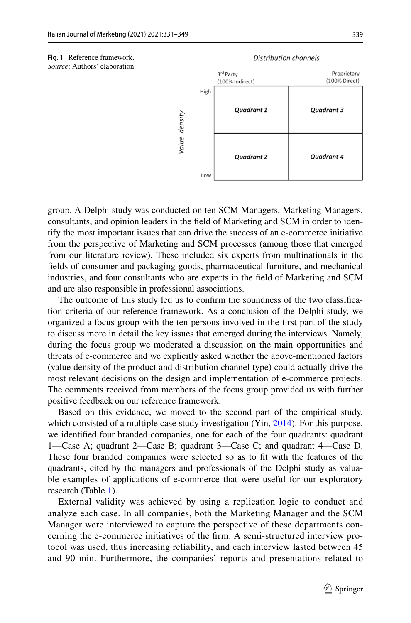<span id="page-8-0"></span>

#### Distribution channels



group. A Delphi study was conducted on ten SCM Managers, Marketing Managers, consultants, and opinion leaders in the feld of Marketing and SCM in order to identify the most important issues that can drive the success of an e-commerce initiative from the perspective of Marketing and SCM processes (among those that emerged from our literature review). These included six experts from multinationals in the felds of consumer and packaging goods, pharmaceutical furniture, and mechanical industries, and four consultants who are experts in the feld of Marketing and SCM and are also responsible in professional associations.

The outcome of this study led us to confrm the soundness of the two classifcation criteria of our reference framework. As a conclusion of the Delphi study, we organized a focus group with the ten persons involved in the frst part of the study to discuss more in detail the key issues that emerged during the interviews. Namely, during the focus group we moderated a discussion on the main opportunities and threats of e-commerce and we explicitly asked whether the above-mentioned factors (value density of the product and distribution channel type) could actually drive the most relevant decisions on the design and implementation of e-commerce projects. The comments received from members of the focus group provided us with further positive feedback on our reference framework.

Based on this evidence, we moved to the second part of the empirical study, which consisted of a multiple case study investigation (Yin, [2014](#page-18-12)). For this purpose, we identifed four branded companies, one for each of the four quadrants: quadrant 1—Case A; quadrant 2—Case B; quadrant 3—Case C; and quadrant 4—Case D. These four branded companies were selected so as to ft with the features of the quadrants, cited by the managers and professionals of the Delphi study as valuable examples of applications of e-commerce that were useful for our exploratory research (Table [1\)](#page-9-0).

External validity was achieved by using a replication logic to conduct and analyze each case. In all companies, both the Marketing Manager and the SCM Manager were interviewed to capture the perspective of these departments concerning the e-commerce initiatives of the frm. A semi-structured interview protocol was used, thus increasing reliability, and each interview lasted between 45 and 90 min. Furthermore, the companies' reports and presentations related to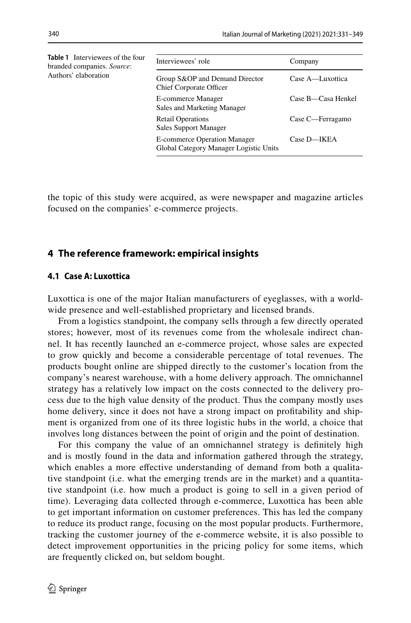<span id="page-9-0"></span>

| <b>Table 1</b> Interviewees of the four<br>branded companies. Source:<br>Authors' elaboration | Interviewees' role                                                            | Company            |
|-----------------------------------------------------------------------------------------------|-------------------------------------------------------------------------------|--------------------|
|                                                                                               | Group S&OP and Demand Director<br><b>Chief Corporate Officer</b>              | Case A—Luxottica   |
|                                                                                               | <b>E-commerce Manager</b><br>Sales and Marketing Manager                      | Case B-Casa Henkel |
|                                                                                               | <b>Retail Operations</b><br>Sales Support Manager                             | Case C—Ferragamo   |
|                                                                                               | <b>E-commerce Operation Manager</b><br>Global Category Manager Logistic Units | Case D-IKEA        |

the topic of this study were acquired, as were newspaper and magazine articles focused on the companies' e-commerce projects.

### **4 The reference framework: empirical insights**

#### **4.1 Case A: Luxottica**

Luxottica is one of the major Italian manufacturers of eyeglasses, with a worldwide presence and well-established proprietary and licensed brands.

From a logistics standpoint, the company sells through a few directly operated stores; however, most of its revenues come from the wholesale indirect channel. It has recently launched an e-commerce project, whose sales are expected to grow quickly and become a considerable percentage of total revenues. The products bought online are shipped directly to the customer's location from the company's nearest warehouse, with a home delivery approach. The omnichannel strategy has a relatively low impact on the costs connected to the delivery process due to the high value density of the product. Thus the company mostly uses home delivery, since it does not have a strong impact on proftability and shipment is organized from one of its three logistic hubs in the world, a choice that involves long distances between the point of origin and the point of destination.

For this company the value of an omnichannel strategy is defnitely high and is mostly found in the data and information gathered through the strategy, which enables a more effective understanding of demand from both a qualitative standpoint (i.e. what the emerging trends are in the market) and a quantitative standpoint (i.e. how much a product is going to sell in a given period of time). Leveraging data collected through e-commerce, Luxottica has been able to get important information on customer preferences. This has led the company to reduce its product range, focusing on the most popular products. Furthermore, tracking the customer journey of the e-commerce website, it is also possible to detect improvement opportunities in the pricing policy for some items, which are frequently clicked on, but seldom bought.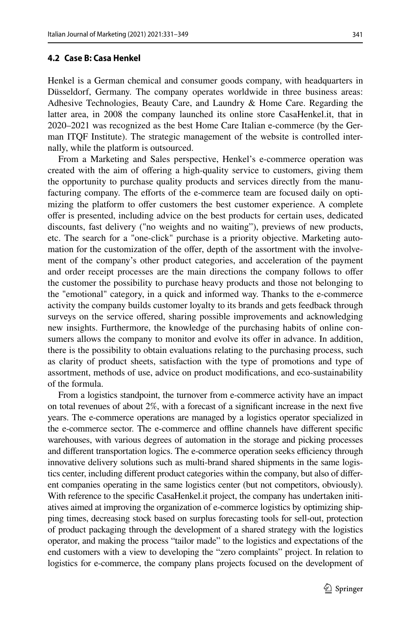Henkel is a German chemical and consumer goods company, with headquarters in Düsseldorf, Germany. The company operates worldwide in three business areas: Adhesive Technologies, Beauty Care, and Laundry & Home Care. Regarding the latter area, in 2008 the company launched its online store CasaHenkel.it, that in 2020–2021 was recognized as the best Home Care Italian e-commerce (by the German ITQF Institute). The strategic management of the website is controlled internally, while the platform is outsourced.

From a Marketing and Sales perspective, Henkel's e-commerce operation was created with the aim of ofering a high-quality service to customers, giving them the opportunity to purchase quality products and services directly from the manufacturing company. The efforts of the e-commerce team are focused daily on optimizing the platform to offer customers the best customer experience. A complete ofer is presented, including advice on the best products for certain uses, dedicated discounts, fast delivery ("no weights and no waiting"), previews of new products, etc. The search for a "one-click" purchase is a priority objective. Marketing automation for the customization of the ofer, depth of the assortment with the involvement of the company's other product categories, and acceleration of the payment and order receipt processes are the main directions the company follows to ofer the customer the possibility to purchase heavy products and those not belonging to the "emotional" category, in a quick and informed way. Thanks to the e-commerce activity the company builds customer loyalty to its brands and gets feedback through surveys on the service offered, sharing possible improvements and acknowledging new insights. Furthermore, the knowledge of the purchasing habits of online consumers allows the company to monitor and evolve its offer in advance. In addition, there is the possibility to obtain evaluations relating to the purchasing process, such as clarity of product sheets, satisfaction with the type of promotions and type of assortment, methods of use, advice on product modifcations, and eco-sustainability of the formula.

From a logistics standpoint, the turnover from e-commerce activity have an impact on total revenues of about 2%, with a forecast of a signifcant increase in the next fve years. The e-commerce operations are managed by a logistics operator specialized in the e-commerce sector. The e-commerce and ofine channels have diferent specifc warehouses, with various degrees of automation in the storage and picking processes and different transportation logics. The e-commerce operation seeks efficiency through innovative delivery solutions such as multi-brand shared shipments in the same logistics center, including diferent product categories within the company, but also of diferent companies operating in the same logistics center (but not competitors, obviously). With reference to the specifc CasaHenkel.it project, the company has undertaken initiatives aimed at improving the organization of e-commerce logistics by optimizing shipping times, decreasing stock based on surplus forecasting tools for sell-out, protection of product packaging through the development of a shared strategy with the logistics operator, and making the process "tailor made" to the logistics and expectations of the end customers with a view to developing the "zero complaints" project. In relation to logistics for e-commerce, the company plans projects focused on the development of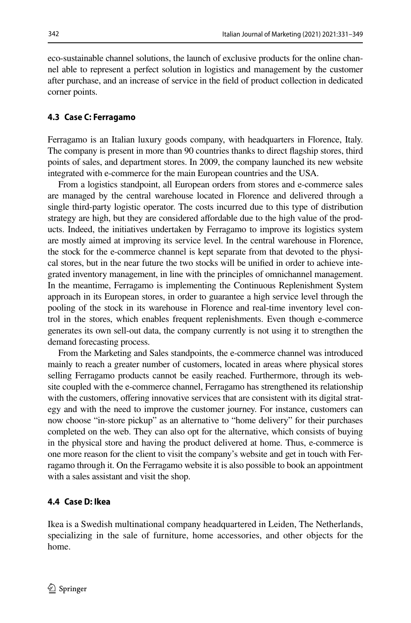eco-sustainable channel solutions, the launch of exclusive products for the online channel able to represent a perfect solution in logistics and management by the customer after purchase, and an increase of service in the feld of product collection in dedicated corner points.

#### **4.3 Case C: Ferragamo**

Ferragamo is an Italian luxury goods company, with headquarters in Florence, Italy. The company is present in more than 90 countries thanks to direct fagship stores, third points of sales, and department stores. In 2009, the company launched its new website integrated with e-commerce for the main European countries and the USA.

From a logistics standpoint, all European orders from stores and e-commerce sales are managed by the central warehouse located in Florence and delivered through a single third-party logistic operator. The costs incurred due to this type of distribution strategy are high, but they are considered afordable due to the high value of the products. Indeed, the initiatives undertaken by Ferragamo to improve its logistics system are mostly aimed at improving its service level. In the central warehouse in Florence, the stock for the e-commerce channel is kept separate from that devoted to the physical stores, but in the near future the two stocks will be unifed in order to achieve integrated inventory management, in line with the principles of omnichannel management. In the meantime, Ferragamo is implementing the Continuous Replenishment System approach in its European stores, in order to guarantee a high service level through the pooling of the stock in its warehouse in Florence and real-time inventory level control in the stores, which enables frequent replenishments. Even though e-commerce generates its own sell-out data, the company currently is not using it to strengthen the demand forecasting process.

From the Marketing and Sales standpoints, the e-commerce channel was introduced mainly to reach a greater number of customers, located in areas where physical stores selling Ferragamo products cannot be easily reached. Furthermore, through its website coupled with the e-commerce channel, Ferragamo has strengthened its relationship with the customers, offering innovative services that are consistent with its digital strategy and with the need to improve the customer journey. For instance, customers can now choose "in-store pickup" as an alternative to "home delivery" for their purchases completed on the web. They can also opt for the alternative, which consists of buying in the physical store and having the product delivered at home. Thus, e-commerce is one more reason for the client to visit the company's website and get in touch with Ferragamo through it. On the Ferragamo website it is also possible to book an appointment with a sales assistant and visit the shop.

#### **4.4 Case D: Ikea**

Ikea is a Swedish multinational company headquartered in Leiden, The Netherlands, specializing in the sale of furniture, home accessories, and other objects for the home.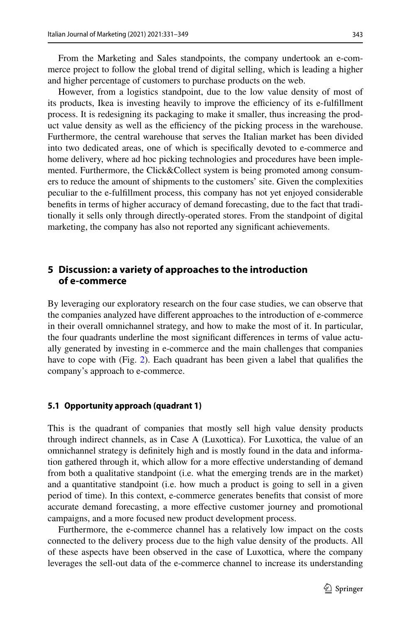However, from a logistics standpoint, due to the low value density of most of its products, Ikea is investing heavily to improve the efficiency of its e-fulfillment process. It is redesigning its packaging to make it smaller, thus increasing the product value density as well as the efficiency of the picking process in the warehouse. Furthermore, the central warehouse that serves the Italian market has been divided into two dedicated areas, one of which is specifcally devoted to e-commerce and home delivery, where ad hoc picking technologies and procedures have been implemented. Furthermore, the Click&Collect system is being promoted among consumers to reduce the amount of shipments to the customers' site. Given the complexities peculiar to the e-fulfllment process, this company has not yet enjoyed considerable benefts in terms of higher accuracy of demand forecasting, due to the fact that traditionally it sells only through directly-operated stores. From the standpoint of digital marketing, the company has also not reported any signifcant achievements.

# **5 Discussion: a variety of approaches to the introduction of e‑commerce**

By leveraging our exploratory research on the four case studies, we can observe that the companies analyzed have diferent approaches to the introduction of e-commerce in their overall omnichannel strategy, and how to make the most of it. In particular, the four quadrants underline the most signifcant diferences in terms of value actually generated by investing in e-commerce and the main challenges that companies have to cope with (Fig. [2\)](#page-13-0). Each quadrant has been given a label that qualifes the company's approach to e-commerce.

#### **5.1 Opportunity approach (quadrant 1)**

This is the quadrant of companies that mostly sell high value density products through indirect channels, as in Case A (Luxottica). For Luxottica, the value of an omnichannel strategy is defnitely high and is mostly found in the data and information gathered through it, which allow for a more effective understanding of demand from both a qualitative standpoint (i.e. what the emerging trends are in the market) and a quantitative standpoint (i.e. how much a product is going to sell in a given period of time). In this context, e-commerce generates benefts that consist of more accurate demand forecasting, a more efective customer journey and promotional campaigns, and a more focused new product development process.

Furthermore, the e-commerce channel has a relatively low impact on the costs connected to the delivery process due to the high value density of the products. All of these aspects have been observed in the case of Luxottica, where the company leverages the sell-out data of the e-commerce channel to increase its understanding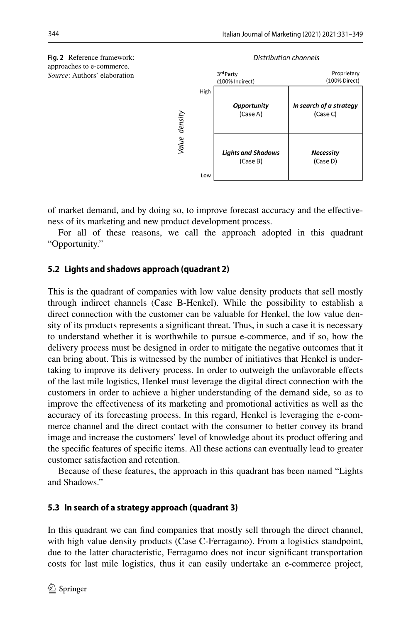<span id="page-13-0"></span>



of market demand, and by doing so, to improve forecast accuracy and the efectiveness of its marketing and new product development process.

For all of these reasons, we call the approach adopted in this quadrant "Opportunity."

#### **5.2 Lights and shadows approach (quadrant 2)**

This is the quadrant of companies with low value density products that sell mostly through indirect channels (Case B-Henkel). While the possibility to establish a direct connection with the customer can be valuable for Henkel, the low value density of its products represents a signifcant threat. Thus, in such a case it is necessary to understand whether it is worthwhile to pursue e-commerce, and if so, how the delivery process must be designed in order to mitigate the negative outcomes that it can bring about. This is witnessed by the number of initiatives that Henkel is undertaking to improve its delivery process. In order to outweigh the unfavorable efects of the last mile logistics, Henkel must leverage the digital direct connection with the customers in order to achieve a higher understanding of the demand side, so as to improve the efectiveness of its marketing and promotional activities as well as the accuracy of its forecasting process. In this regard, Henkel is leveraging the e-commerce channel and the direct contact with the consumer to better convey its brand image and increase the customers' level of knowledge about its product ofering and the specifc features of specifc items. All these actions can eventually lead to greater customer satisfaction and retention.

Because of these features, the approach in this quadrant has been named "Lights and Shadows."

#### **5.3 In search of a strategy approach (quadrant 3)**

In this quadrant we can fnd companies that mostly sell through the direct channel, with high value density products (Case C-Ferragamo). From a logistics standpoint, due to the latter characteristic, Ferragamo does not incur signifcant transportation costs for last mile logistics, thus it can easily undertake an e-commerce project,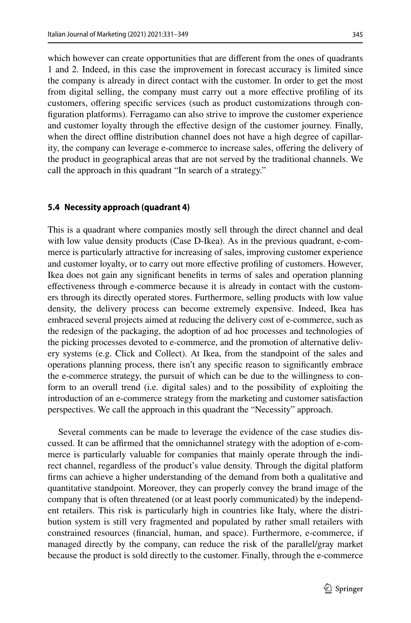345

which however can create opportunities that are diferent from the ones of quadrants 1 and 2. Indeed, in this case the improvement in forecast accuracy is limited since the company is already in direct contact with the customer. In order to get the most from digital selling, the company must carry out a more efective profling of its customers, offering specific services (such as product customizations through confguration platforms). Ferragamo can also strive to improve the customer experience and customer loyalty through the efective design of the customer journey. Finally, when the direct offline distribution channel does not have a high degree of capillarity, the company can leverage e-commerce to increase sales, ofering the delivery of the product in geographical areas that are not served by the traditional channels. We call the approach in this quadrant "In search of a strategy."

#### **5.4 Necessity approach (quadrant 4)**

This is a quadrant where companies mostly sell through the direct channel and deal with low value density products (Case D-Ikea). As in the previous quadrant, e-commerce is particularly attractive for increasing of sales, improving customer experience and customer loyalty, or to carry out more efective profling of customers. However, Ikea does not gain any signifcant benefts in terms of sales and operation planning efectiveness through e-commerce because it is already in contact with the customers through its directly operated stores. Furthermore, selling products with low value density, the delivery process can become extremely expensive. Indeed, Ikea has embraced several projects aimed at reducing the delivery cost of e-commerce, such as the redesign of the packaging, the adoption of ad hoc processes and technologies of the picking processes devoted to e-commerce, and the promotion of alternative delivery systems (e.g. Click and Collect). At Ikea, from the standpoint of the sales and operations planning process, there isn't any specifc reason to signifcantly embrace the e-commerce strategy, the pursuit of which can be due to the willingness to conform to an overall trend (i.e. digital sales) and to the possibility of exploiting the introduction of an e-commerce strategy from the marketing and customer satisfaction perspectives. We call the approach in this quadrant the "Necessity" approach.

Several comments can be made to leverage the evidence of the case studies discussed. It can be affirmed that the omnichannel strategy with the adoption of e-commerce is particularly valuable for companies that mainly operate through the indirect channel, regardless of the product's value density. Through the digital platform frms can achieve a higher understanding of the demand from both a qualitative and quantitative standpoint. Moreover, they can properly convey the brand image of the company that is often threatened (or at least poorly communicated) by the independent retailers. This risk is particularly high in countries like Italy, where the distribution system is still very fragmented and populated by rather small retailers with constrained resources (fnancial, human, and space). Furthermore, e-commerce, if managed directly by the company, can reduce the risk of the parallel/gray market because the product is sold directly to the customer. Finally, through the e-commerce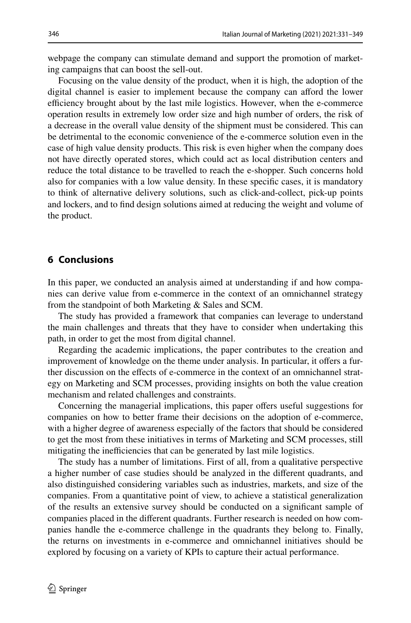webpage the company can stimulate demand and support the promotion of marketing campaigns that can boost the sell-out.

Focusing on the value density of the product, when it is high, the adoption of the digital channel is easier to implement because the company can aford the lower efficiency brought about by the last mile logistics. However, when the e-commerce operation results in extremely low order size and high number of orders, the risk of a decrease in the overall value density of the shipment must be considered. This can be detrimental to the economic convenience of the e-commerce solution even in the case of high value density products. This risk is even higher when the company does not have directly operated stores, which could act as local distribution centers and reduce the total distance to be travelled to reach the e-shopper. Such concerns hold also for companies with a low value density. In these specifc cases, it is mandatory to think of alternative delivery solutions, such as click-and-collect, pick-up points and lockers, and to fnd design solutions aimed at reducing the weight and volume of the product.

# **6 Conclusions**

In this paper, we conducted an analysis aimed at understanding if and how companies can derive value from e-commerce in the context of an omnichannel strategy from the standpoint of both Marketing & Sales and SCM.

The study has provided a framework that companies can leverage to understand the main challenges and threats that they have to consider when undertaking this path, in order to get the most from digital channel.

Regarding the academic implications, the paper contributes to the creation and improvement of knowledge on the theme under analysis. In particular, it ofers a further discussion on the efects of e-commerce in the context of an omnichannel strategy on Marketing and SCM processes, providing insights on both the value creation mechanism and related challenges and constraints.

Concerning the managerial implications, this paper offers useful suggestions for companies on how to better frame their decisions on the adoption of e-commerce, with a higher degree of awareness especially of the factors that should be considered to get the most from these initiatives in terms of Marketing and SCM processes, still mitigating the inefficiencies that can be generated by last mile logistics.

The study has a number of limitations. First of all, from a qualitative perspective a higher number of case studies should be analyzed in the diferent quadrants, and also distinguished considering variables such as industries, markets, and size of the companies. From a quantitative point of view, to achieve a statistical generalization of the results an extensive survey should be conducted on a signifcant sample of companies placed in the diferent quadrants. Further research is needed on how companies handle the e-commerce challenge in the quadrants they belong to. Finally, the returns on investments in e-commerce and omnichannel initiatives should be explored by focusing on a variety of KPIs to capture their actual performance.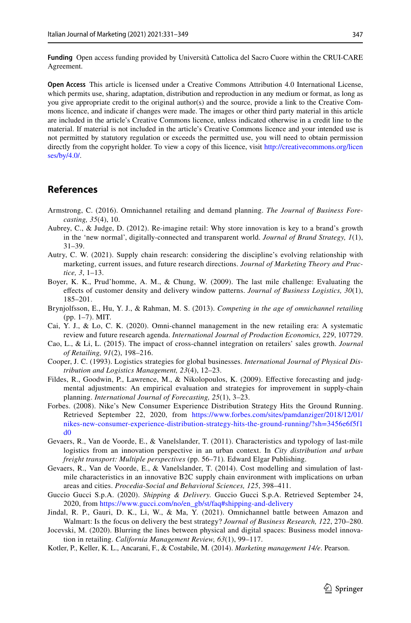**Funding** Open access funding provided by Università Cattolica del Sacro Cuore within the CRUI-CARE Agreement.

**Open Access** This article is licensed under a Creative Commons Attribution 4.0 International License, which permits use, sharing, adaptation, distribution and reproduction in any medium or format, as long as you give appropriate credit to the original author(s) and the source, provide a link to the Creative Commons licence, and indicate if changes were made. The images or other third party material in this article are included in the article's Creative Commons licence, unless indicated otherwise in a credit line to the material. If material is not included in the article's Creative Commons licence and your intended use is not permitted by statutory regulation or exceeds the permitted use, you will need to obtain permission directly from the copyright holder. To view a copy of this licence, visit [http://creativecommons.org/licen](http://creativecommons.org/licenses/by/4.0/) [ses/by/4.0/](http://creativecommons.org/licenses/by/4.0/).

#### **References**

- <span id="page-16-10"></span>Armstrong, C. (2016). Omnichannel retailing and demand planning. *The Journal of Business Forecasting, 35*(4), 10.
- <span id="page-16-2"></span>Aubrey, C., & Judge, D. (2012). Re-imagine retail: Why store innovation is key to a brand's growth in the 'new normal', digitally-connected and transparent world. *Journal of Brand Strategy, 1*(1), 31–39.
- <span id="page-16-0"></span>Autry, C. W. (2021). Supply chain research: considering the discipline's evolving relationship with marketing, current issues, and future research directions. *Journal of Marketing Theory and Practice, 3*, 1–13.
- <span id="page-16-14"></span>Boyer, K. K., Prud'homme, A. M., & Chung, W. (2009). The last mile challenge: Evaluating the efects of customer density and delivery window patterns. *Journal of Business Logistics, 30*(1), 185–201.
- <span id="page-16-1"></span>Brynjolfsson, E., Hu, Y. J., & Rahman, M. S. (2013). *Competing in the age of omnichannel retailing* (pp. 1–7). MIT.
- <span id="page-16-4"></span>Cai, Y. J., & Lo, C. K. (2020). Omni-channel management in the new retailing era: A systematic review and future research agenda. *International Journal of Production Economics, 229*, 107729.
- <span id="page-16-6"></span>Cao, L., & Li, L. (2015). The impact of cross-channel integration on retailers' sales growth. *Journal of Retailing, 91*(2), 198–216.
- <span id="page-16-7"></span>Cooper, J. C. (1993). Logistics strategies for global businesses. *International Journal of Physical Distribution and Logistics Management, 23*(4), 12–23.
- <span id="page-16-9"></span>Fildes, R., Goodwin, P., Lawrence, M., & Nikolopoulos, K. (2009). Efective forecasting and judgmental adjustments: An empirical evaluation and strategies for improvement in supply-chain planning. *International Journal of Forecasting, 25*(1), 3–23.
- <span id="page-16-12"></span>Forbes. (2008). Nike's New Consumer Experience Distribution Strategy Hits the Ground Running. Retrieved September 22, 2020, from [https://www.forbes.com/sites/pamdanziger/2018/12/01/](https://www.forbes.com/sites/pamdanziger/2018/12/01/nikes-new-consumer-experience-distribution-strategy-hits-the-ground-running/?sh=3456e6f5f1d0) [nikes-new-consumer-experience-distribution-strategy-hits-the-ground-running/?sh=3456e6f5f1](https://www.forbes.com/sites/pamdanziger/2018/12/01/nikes-new-consumer-experience-distribution-strategy-hits-the-ground-running/?sh=3456e6f5f1d0) [d0](https://www.forbes.com/sites/pamdanziger/2018/12/01/nikes-new-consumer-experience-distribution-strategy-hits-the-ground-running/?sh=3456e6f5f1d0)
- <span id="page-16-8"></span>Gevaers, R., Van de Voorde, E., & Vanelslander, T. (2011). Characteristics and typology of last-mile logistics from an innovation perspective in an urban context. In *City distribution and urban freight transport: Multiple perspectives* (pp. 56–71)*.* Edward Elgar Publishing.
- <span id="page-16-13"></span>Gevaers, R., Van de Voorde, E., & Vanelslander, T. (2014). Cost modelling and simulation of lastmile characteristics in an innovative B2C supply chain environment with implications on urban areas and cities. *Procedia-Social and Behavioral Sciences, 125*, 398–411.
- <span id="page-16-15"></span>Guccio Gucci S.p.A. (2020). *Shipping & Delivery.* Guccio Gucci S.p.A. Retrieved September 24, 2020, from [https://www.gucci.com/no/en\\_gb/st/faq#shipping-and-delivery](https://www.gucci.com/no/en_gb/st/faq#shipping-and-delivery)
- <span id="page-16-5"></span>Jindal, R. P., Gauri, D. K., Li, W., & Ma, Y. (2021). Omnichannel battle between Amazon and Walmart: Is the focus on delivery the best strategy? *Journal of Business Research, 122*, 270–280.
- <span id="page-16-3"></span>Jocevski, M. (2020). Blurring the lines between physical and digital spaces: Business model innovation in retailing. *California Management Review, 63*(1), 99–117.
- <span id="page-16-11"></span>Kotler, P., Keller, K. L., Ancarani, F., & Costabile, M. (2014). *Marketing management 14/e*. Pearson.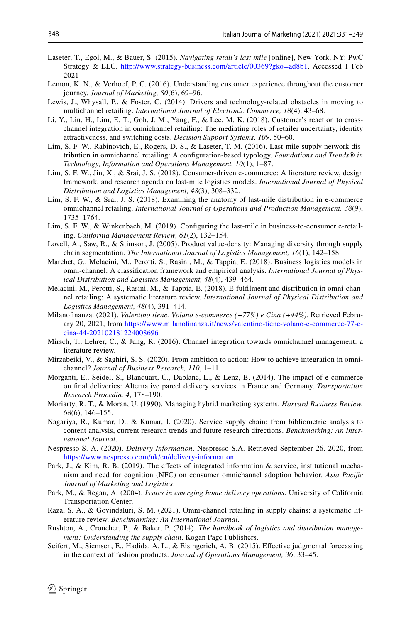- <span id="page-17-10"></span>Laseter, T., Egol, M., & Bauer, S. (2015). *Navigating retail's last mile* [online], New York, NY: PwC Strategy & LLC. <http://www.strategy-business.com/article/00369?gko=ad8b1>. Accessed 1 Feb 2021
- <span id="page-17-4"></span>Lemon, K. N., & Verhoef, P. C. (2016). Understanding customer experience throughout the customer journey. *Journal of Marketing, 80*(6), 69–96.
- <span id="page-17-3"></span>Lewis, J., Whysall, P., & Foster, C. (2014). Drivers and technology-related obstacles in moving to multichannel retailing. *International Journal of Electronic Commerce, 18*(4), 43–68.
- <span id="page-17-17"></span>Li, Y., Liu, H., Lim, E. T., Goh, J. M., Yang, F., & Lee, M. K. (2018). Customer's reaction to crosschannel integration in omnichannel retailing: The mediating roles of retailer uncertainty, identity attractiveness, and switching costs. *Decision Support Systems, 109*, 50–60.
- <span id="page-17-9"></span>Lim, S. F. W., Rabinovich, E., Rogers, D. S., & Laseter, T. M. (2016). Last-mile supply network distribution in omnichannel retailing: A confguration-based typology. *Foundations and Trends® in Technology, Information and Operations Management, 10*(1), 1–87.
- <span id="page-17-12"></span>Lim, S. F. W., Jin, X., & Srai, J. S. (2018). Consumer-driven e-commerce: A literature review, design framework, and research agenda on last-mile logistics models. *International Journal of Physical Distribution and Logistics Management, 48*(3), 308–332.
- <span id="page-17-11"></span>Lim, S. F. W., & Srai, J. S. (2018). Examining the anatomy of last-mile distribution in e-commerce omnichannel retailing. *International Journal of Operations and Production Management, 38*(9), 1735–1764.
- <span id="page-17-7"></span>Lim, S. F. W., & Winkenbach, M. (2019). Confguring the last-mile in business-to-consumer e-retailing. *California Management Review, 61*(2), 132–154.
- <span id="page-17-13"></span>Lovell, A., Saw, R., & Stimson, J. (2005). Product value-density: Managing diversity through supply chain segmentation. *The International Journal of Logistics Management, 16*(1), 142–158.
- <span id="page-17-6"></span>Marchet, G., Melacini, M., Perotti, S., Rasini, M., & Tappia, E. (2018). Business logistics models in omni-channel: A classifcation framework and empirical analysis. *International Journal of Physical Distribution and Logistics Management, 48*(4), 439–464.
- Melacini, M., Perotti, S., Rasini, M., & Tappia, E. (2018). E-fulflment and distribution in omni-channel retailing: A systematic literature review. *International Journal of Physical Distribution and Logistics Management, 48*(4), 391–414.
- <span id="page-17-18"></span>Milanofnanza. (2021). *Valentino tiene. Volano e-commerce (+77%) e Cina (+44%)*. Retrieved February 20, 2021, from [https://www.milanofnanza.it/news/valentino-tiene-volano-e-commerce-77-e](https://www.milanofinanza.it/news/valentino-tiene-volano-e-commerce-77-e-cina-44-202102181224008696)[cina-44-202102181224008696](https://www.milanofinanza.it/news/valentino-tiene-volano-e-commerce-77-e-cina-44-202102181224008696)
- <span id="page-17-5"></span>Mirsch, T., Lehrer, C., & Jung, R. (2016). Channel integration towards omnichannel management: a literature review.
- <span id="page-17-15"></span>Mirzabeiki, V., & Saghiri, S. S. (2020). From ambition to action: How to achieve integration in omnichannel? *Journal of Business Research, 110*, 1–11.
- <span id="page-17-8"></span>Morganti, E., Seidel, S., Blanquart, C., Dablanc, L., & Lenz, B. (2014). The impact of e-commerce on fnal deliveries: Alternative parcel delivery services in France and Germany. *Transportation Research Procedia, 4*, 178–190.
- <span id="page-17-2"></span>Moriarty, R. T., & Moran, U. (1990). Managing hybrid marketing systems. *Harvard Business Review, 68*(6), 146–155.
- <span id="page-17-0"></span>Nagariya, R., Kumar, D., & Kumar, I. (2020). Service supply chain: from bibliometric analysis to content analysis, current research trends and future research directions. *Benchmarking: An International Journal*.
- <span id="page-17-21"></span>Nespresso S. A. (2020). *Delivery Information*. Nespresso S.A. Retrieved September 26, 2020, from <https://www.nespresso.com/uk/en/delivery-information>
- <span id="page-17-16"></span>Park, J., & Kim, R. B. (2019). The effects of integrated information & service, institutional mechanism and need for cognition (NFC) on consumer omnichannel adoption behavior. *Asia Pacifc Journal of Marketing and Logistics*.
- <span id="page-17-19"></span>Park, M., & Regan, A. (2004). *Issues in emerging home delivery operations*. University of California Transportation Center.
- <span id="page-17-1"></span>Raza, S. A., & Govindaluri, S. M. (2021). Omni-channel retailing in supply chains: a systematic literature review. *Benchmarking: An International Journal*.
- <span id="page-17-20"></span>Rushton, A., Croucher, P., & Baker, P. (2014). *The handbook of logistics and distribution management: Understanding the supply chain*. Kogan Page Publishers.
- <span id="page-17-14"></span>Seifert, M., Siemsen, E., Hadida, A. L., & Eisingerich, A. B. (2015). Efective judgmental forecasting in the context of fashion products. *Journal of Operations Management, 36*, 33–45.